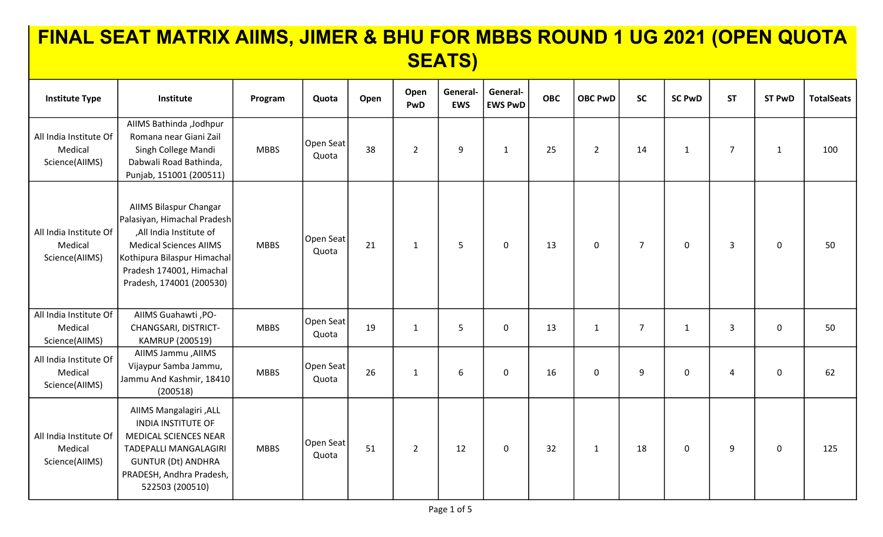| <b>Institute Type</b>                               | Institute                                                                                                                                                                                                | Program     | Quota              | Open | Open<br>PwD    | General-<br><b>EWS</b> | General-<br><b>EWS PwD</b> | <b>OBC</b> | <b>OBC PwD</b> | <b>SC</b>      | <b>SC PwD</b> | <b>ST</b>      | <b>ST PwD</b> | <b>TotalSeats</b> |
|-----------------------------------------------------|----------------------------------------------------------------------------------------------------------------------------------------------------------------------------------------------------------|-------------|--------------------|------|----------------|------------------------|----------------------------|------------|----------------|----------------|---------------|----------------|---------------|-------------------|
| All India Institute Of<br>Medical<br>Science(AllMS) | AllMS Bathinda , Jodhpur<br>Romana near Giani Zail<br>Singh College Mandi<br>Dabwali Road Bathinda,<br>Punjab, 151001 (200511)                                                                           | <b>MBBS</b> | Open Seat<br>Quota | 38   | $\overline{2}$ | 9                      | $\mathbf{1}$               | 25         | $\overline{2}$ | 14             | $\mathbf{1}$  | $\overline{7}$ | $\mathbf 1$   | 100               |
| All India Institute Of<br>Medical<br>Science(AllMS) | AllMS Bilaspur Changar<br>Palasiyan, Himachal Pradesh<br>,All India Institute of<br><b>Medical Sciences AIIMS</b><br>Kothipura Bilaspur Himachal<br>Pradesh 174001, Himachal<br>Pradesh, 174001 (200530) | <b>MBBS</b> | Open Seat<br>Quota | 21   | $\mathbf{1}$   | 5                      | 0                          | 13         | $\mathbf 0$    | $\overline{7}$ | $\mathsf{O}$  | $\overline{3}$ | $\mathbf 0$   | 50                |
| All India Institute Of<br>Medical<br>Science(AllMS) | AIIMS Guahawti, PO-<br>CHANGSARI, DISTRICT-<br>KAMRUP (200519)                                                                                                                                           | <b>MBBS</b> | Open Seat<br>Quota | 19   | $\mathbf{1}$   | 5                      | $\mathbf 0$                | 13         | $\mathbf{1}$   | $\overline{7}$ | $\mathbf{1}$  | 3              | $\mathbf 0$   | 50                |
| All India Institute Of<br>Medical<br>Science(AllMS) | AllMS Jammu, AllMS<br>Vijaypur Samba Jammu,<br>Jammu And Kashmir, 18410<br>(200518)                                                                                                                      | <b>MBBS</b> | Open Seat<br>Quota | 26   | $\mathbf{1}$   | 6                      | $\mathbf 0$                | 16         | $\mathbf 0$    | 9              | $\mathbf 0$   | $\overline{4}$ | $\mathbf 0$   | 62                |
| All India Institute Of<br>Medical<br>Science(AllMS) | AllMS Mangalagiri, ALL<br><b>INDIA INSTITUTE OF</b><br>MEDICAL SCIENCES NEAR<br>TADEPALLI MANGALAGIRI<br><b>GUNTUR (Dt) ANDHRA</b><br>PRADESH, Andhra Pradesh,<br>522503 (200510)                        | <b>MBBS</b> | Open Seat<br>Quota | 51   | $\overline{2}$ | 12                     | 0                          | 32         | $\mathbf{1}$   | 18             | $\pmb{0}$     | 9              | $\pmb{0}$     | 125               |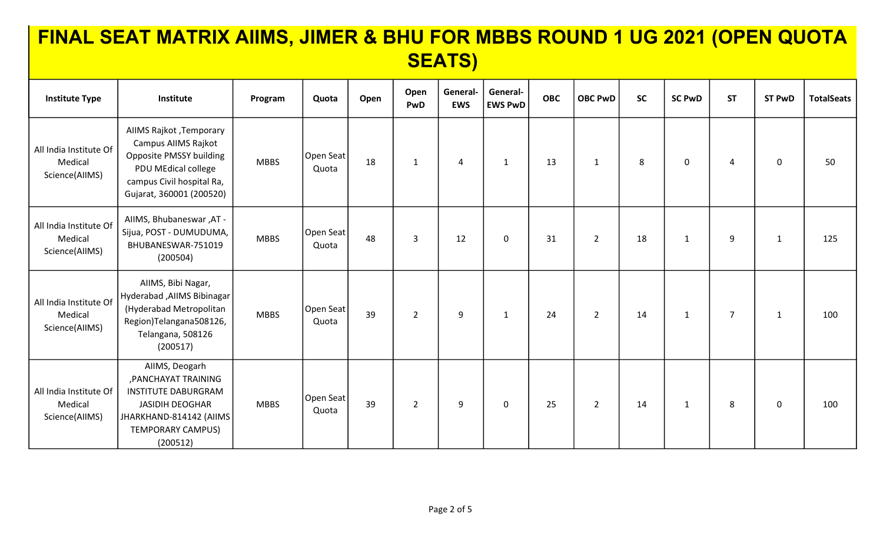| <b>Institute Type</b>                               | Institute                                                                                                                                                  | Program     | Quota              | Open | Open<br>PwD    | General-<br><b>EWS</b> | General-<br><b>EWS PwD</b> | <b>OBC</b> | <b>OBC PwD</b> | <b>SC</b> | <b>SC PwD</b> | <b>ST</b>      | <b>ST PwD</b> | <b>TotalSeats</b> |
|-----------------------------------------------------|------------------------------------------------------------------------------------------------------------------------------------------------------------|-------------|--------------------|------|----------------|------------------------|----------------------------|------------|----------------|-----------|---------------|----------------|---------------|-------------------|
| All India Institute Of<br>Medical<br>Science(AllMS) | AllMS Rajkot , Temporary<br>Campus AIIMS Rajkot<br>Opposite PMSSY building<br>PDU MEdical college<br>campus Civil hospital Ra,<br>Gujarat, 360001 (200520) | <b>MBBS</b> | Open Seat<br>Quota | 18   | $\mathbf{1}$   | 4                      | 1                          | 13         | $\mathbf{1}$   | 8         | $\mathbf 0$   | 4              | $\mathbf 0$   | 50                |
| All India Institute Of<br>Medical<br>Science(AllMS) | AIIMS, Bhubaneswar, AT -<br>Sijua, POST - DUMUDUMA,<br>BHUBANESWAR-751019<br>(200504)                                                                      | <b>MBBS</b> | Open Seat<br>Quota | 48   | 3              | 12                     | $\mathbf 0$                | 31         | $\overline{2}$ | 18        | $\mathbf{1}$  | 9              | $\mathbf{1}$  | 125               |
| All India Institute Of<br>Medical<br>Science(AllMS) | AIIMS, Bibi Nagar,<br>Hyderabad , AIIMS Bibinagar<br>(Hyderabad Metropolitan<br>Region)Telangana508126,<br>Telangana, 508126<br>(200517)                   | <b>MBBS</b> | Open Seat<br>Quota | 39   | $\overline{2}$ | 9                      | $\mathbf{1}$               | 24         | $\overline{2}$ | 14        | $\mathbf{1}$  | $\overline{7}$ | $\mathbf{1}$  | 100               |
| All India Institute Of<br>Medical<br>Science(AllMS) | AIIMS, Deogarh<br>, PANCHAYAT TRAINING<br><b>INSTITUTE DABURGRAM</b><br><b>JASIDIH DEOGHAR</b><br>JHARKHAND-814142 (AIIMS<br>TEMPORARY CAMPUS)<br>(200512) | <b>MBBS</b> | Open Seat<br>Quota | 39   | $\overline{2}$ | 9                      | 0                          | 25         | $\overline{2}$ | 14        | $\mathbf{1}$  | 8              | $\mathbf 0$   | 100               |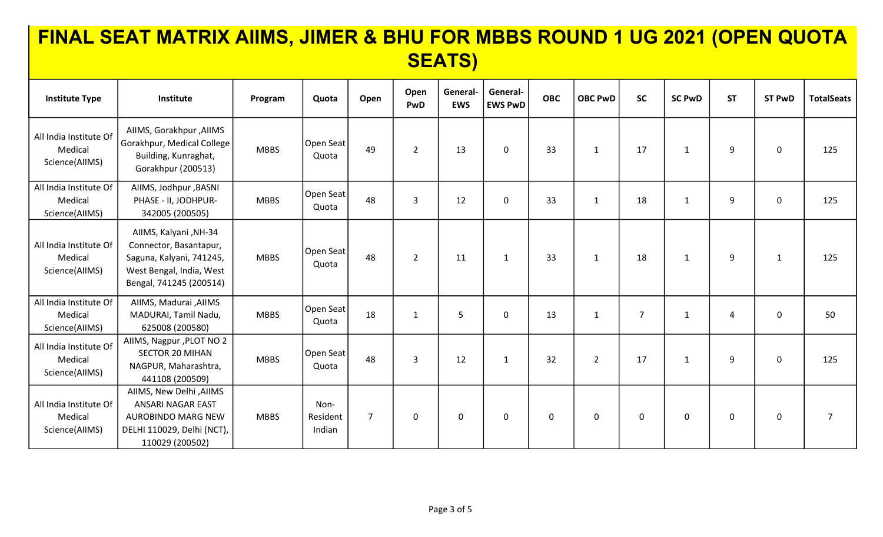| <b>Institute Type</b>                               | Institute                                                                                                                          | Program     | Quota                      | Open           | Open<br>PwD    | General-<br><b>EWS</b> | General-<br><b>EWS PwD</b> | <b>OBC</b>  | <b>OBC PwD</b> | <b>SC</b>      | <b>SC PwD</b> | <b>ST</b>   | <b>ST PwD</b> | <b>TotalSeats</b> |
|-----------------------------------------------------|------------------------------------------------------------------------------------------------------------------------------------|-------------|----------------------------|----------------|----------------|------------------------|----------------------------|-------------|----------------|----------------|---------------|-------------|---------------|-------------------|
| All India Institute Of<br>Medical<br>Science(AlIMS) | AIIMS, Gorakhpur , AIIMS<br>Gorakhpur, Medical College<br>Building, Kunraghat,<br>Gorakhpur (200513)                               | <b>MBBS</b> | Open Seat<br>Quota         | 49             | $\overline{2}$ | 13                     | $\mathbf 0$                | 33          | $\mathbf{1}$   | 17             | $\mathbf{1}$  | 9           | $\mathbf 0$   | 125               |
| All India Institute Of<br>Medical<br>Science(AllMS) | AIIMS, Jodhpur , BASNI<br>PHASE - II, JODHPUR-<br>342005 (200505)                                                                  | <b>MBBS</b> | Open Seat<br>Quota         | 48             | 3              | 12                     | $\mathbf 0$                | 33          | $\mathbf{1}$   | 18             | $\mathbf{1}$  | 9           | $\mathbf 0$   | 125               |
| All India Institute Of<br>Medical<br>Science(AllMS) | AIIMS, Kalyani, NH-34<br>Connector, Basantapur,<br>Saguna, Kalyani, 741245,<br>West Bengal, India, West<br>Bengal, 741245 (200514) | <b>MBBS</b> | Open Seat<br>Quota         | 48             | $\overline{2}$ | 11                     | $\mathbf{1}$               | 33          | 1              | 18             | $\mathbf{1}$  | 9           | $\mathbf{1}$  | 125               |
| All India Institute Of<br>Medical<br>Science(AllMS) | AllMS, Madurai , AllMS<br>MADURAI, Tamil Nadu,<br>625008 (200580)                                                                  | <b>MBBS</b> | Open Seat<br>Quota         | 18             | 1              | 5                      | 0                          | 13          | $\mathbf{1}$   | $\overline{7}$ | $\mathbf{1}$  | 4           | $\mathbf 0$   | 50                |
| All India Institute Of<br>Medical<br>Science(AlIMS) | AIIMS, Nagpur, PLOT NO 2<br><b>SECTOR 20 MIHAN</b><br>NAGPUR, Maharashtra,<br>441108 (200509)                                      | <b>MBBS</b> | Open Seat<br>Quota         | 48             | 3              | 12                     | $\mathbf{1}$               | 32          | $\overline{2}$ | 17             | $\mathbf{1}$  | 9           | $\mathbf 0$   | 125               |
| All India Institute Of<br>Medical<br>Science(AlIMS) | AIIMS, New Delhi , AIIMS<br><b>ANSARI NAGAR EAST</b><br><b>AUROBINDO MARG NEW</b><br>DELHI 110029, Delhi (NCT),<br>110029 (200502) | <b>MBBS</b> | Non-<br>Resident<br>Indian | $\overline{7}$ | 0              | $\mathbf{0}$           | $\mathbf 0$                | $\mathbf 0$ | $\mathbf 0$    | $\mathbf 0$    | $\mathbf 0$   | $\mathbf 0$ | $\mathbf 0$   | $\overline{7}$    |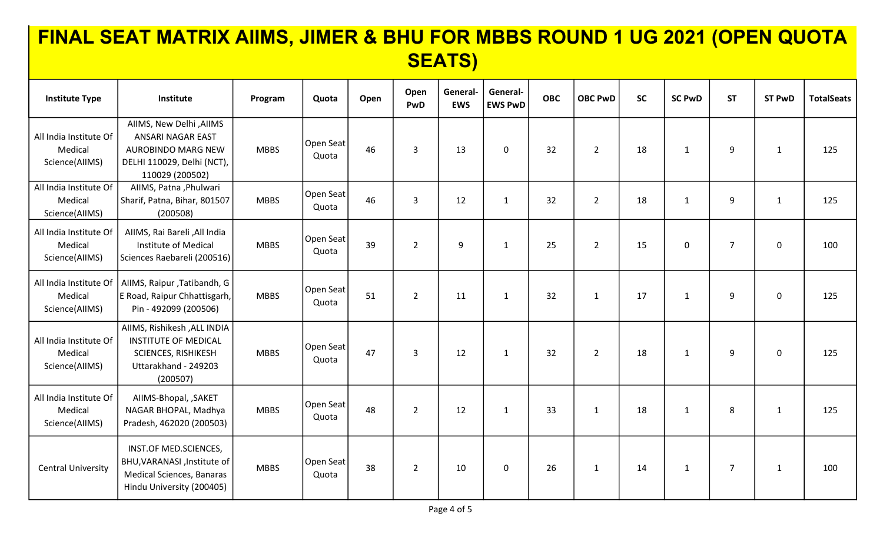| <b>Institute Type</b>                               | Institute                                                                                                                     | Program     | Quota              | Open | Open<br>PwD    | General-<br><b>EWS</b> | General-<br><b>EWS PwD</b> | <b>OBC</b> | <b>OBC PwD</b> | <b>SC</b> | <b>SC PwD</b> | <b>ST</b>      | <b>ST PwD</b> | <b>TotalSeats</b> |
|-----------------------------------------------------|-------------------------------------------------------------------------------------------------------------------------------|-------------|--------------------|------|----------------|------------------------|----------------------------|------------|----------------|-----------|---------------|----------------|---------------|-------------------|
| All India Institute Of<br>Medical<br>Science(AllMS) | AllMS, New Delhi, AllMS<br>ANSARI NAGAR EAST<br><b>AUROBINDO MARG NEW</b><br>DELHI 110029, Delhi (NCT),<br>110029 (200502)    | <b>MBBS</b> | Open Seat<br>Quota | 46   | 3              | 13                     | $\mathbf 0$                | 32         | $2^{\circ}$    | 18        | $\mathbf{1}$  | 9              | $\mathbf{1}$  | 125               |
| All India Institute Of<br>Medical<br>Science(AllMS) | AIIMS, Patna, Phulwari<br>Sharif, Patna, Bihar, 801507<br>(200508)                                                            | <b>MBBS</b> | Open Seat<br>Quota | 46   | 3              | 12                     | $\mathbf{1}$               | 32         | $\overline{2}$ | 18        | $\mathbf{1}$  | 9              | $\mathbf{1}$  | 125               |
| All India Institute Of<br>Medical<br>Science(AllMS) | AIIMS, Rai Bareli, All India<br>Institute of Medical<br>Sciences Raebareli (200516)                                           | <b>MBBS</b> | Open Seat<br>Quota | 39   | $\overline{2}$ | 9                      | $\mathbf{1}$               | 25         | $\overline{2}$ | 15        | $\mathbf 0$   | $\overline{7}$ | $\mathbf 0$   | 100               |
| All India Institute Of<br>Medical<br>Science(AlIMS) | AIIMS, Raipur, Tatibandh, G<br>E Road, Raipur Chhattisgarh,<br>Pin - 492099 (200506)                                          | <b>MBBS</b> | Open Seat<br>Quota | 51   | $\overline{2}$ | 11                     | $\mathbf{1}$               | 32         | $\mathbf{1}$   | 17        | $\mathbf{1}$  | 9              | $\mathbf 0$   | 125               |
| All India Institute Of<br>Medical<br>Science(AlIMS) | AIIMS, Rishikesh , ALL INDIA<br><b>INSTITUTE OF MEDICAL</b><br><b>SCIENCES, RISHIKESH</b><br>Uttarakhand - 249203<br>(200507) | <b>MBBS</b> | Open Seat<br>Quota | 47   | 3              | 12                     | $\mathbf{1}$               | 32         | $\overline{2}$ | 18        | $\mathbf{1}$  | 9              | $\mathbf 0$   | 125               |
| All India Institute Of<br>Medical<br>Science(AllMS) | AIIMS-Bhopal, , SAKET<br>NAGAR BHOPAL, Madhya<br>Pradesh, 462020 (200503)                                                     | <b>MBBS</b> | Open Seat<br>Quota | 48   | $\overline{2}$ | 12                     | $\mathbf{1}$               | 33         | $\mathbf{1}$   | 18        | $\mathbf{1}$  | 8              | $\mathbf{1}$  | 125               |
| <b>Central University</b>                           | INST.OF MED.SCIENCES,<br>BHU, VARANASI, Institute of<br>Medical Sciences, Banaras<br>Hindu University (200405)                | <b>MBBS</b> | Open Seat<br>Quota | 38   | $\overline{2}$ | 10                     | $\mathbf 0$                | 26         | $\mathbf{1}$   | 14        | $\mathbf{1}$  | $\overline{7}$ | $\mathbf{1}$  | 100               |